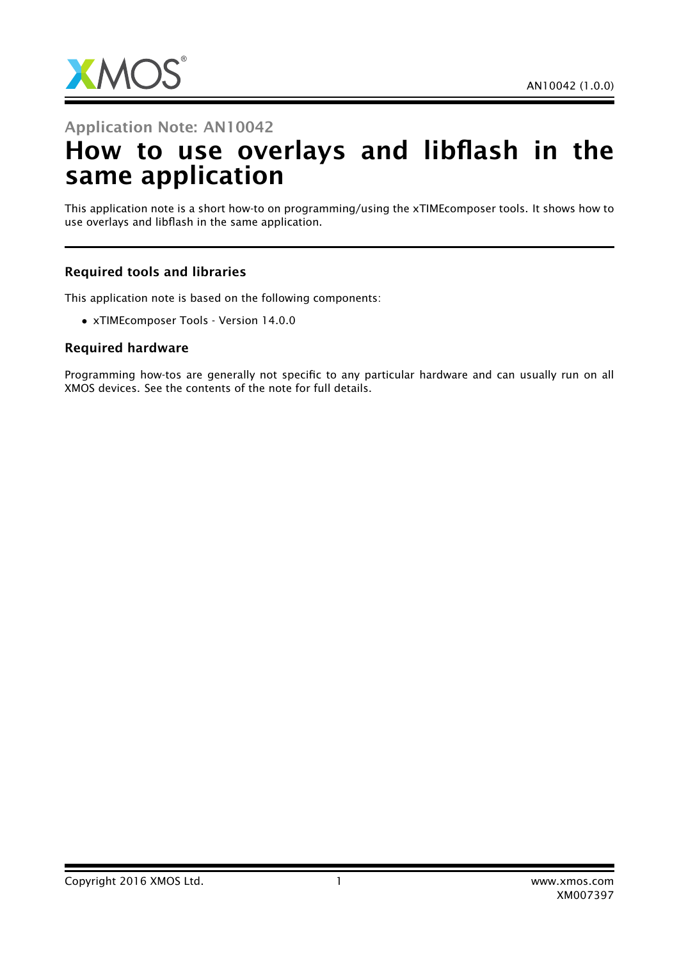

## Application Note: AN10042

# How to use overlays and libflash in the same application

This application note is a short how-to on programming/using the xTIMEcomposer tools. It shows how to use overlays and libflash in the same application.

#### Required tools and libraries

This application note is based on the following components:

• xTIMEcomposer Tools - Version 14.0.0

#### Required hardware

Programming how-tos are generally not specific to any particular hardware and can usually run on all XMOS devices. See the contents of the note for full details.